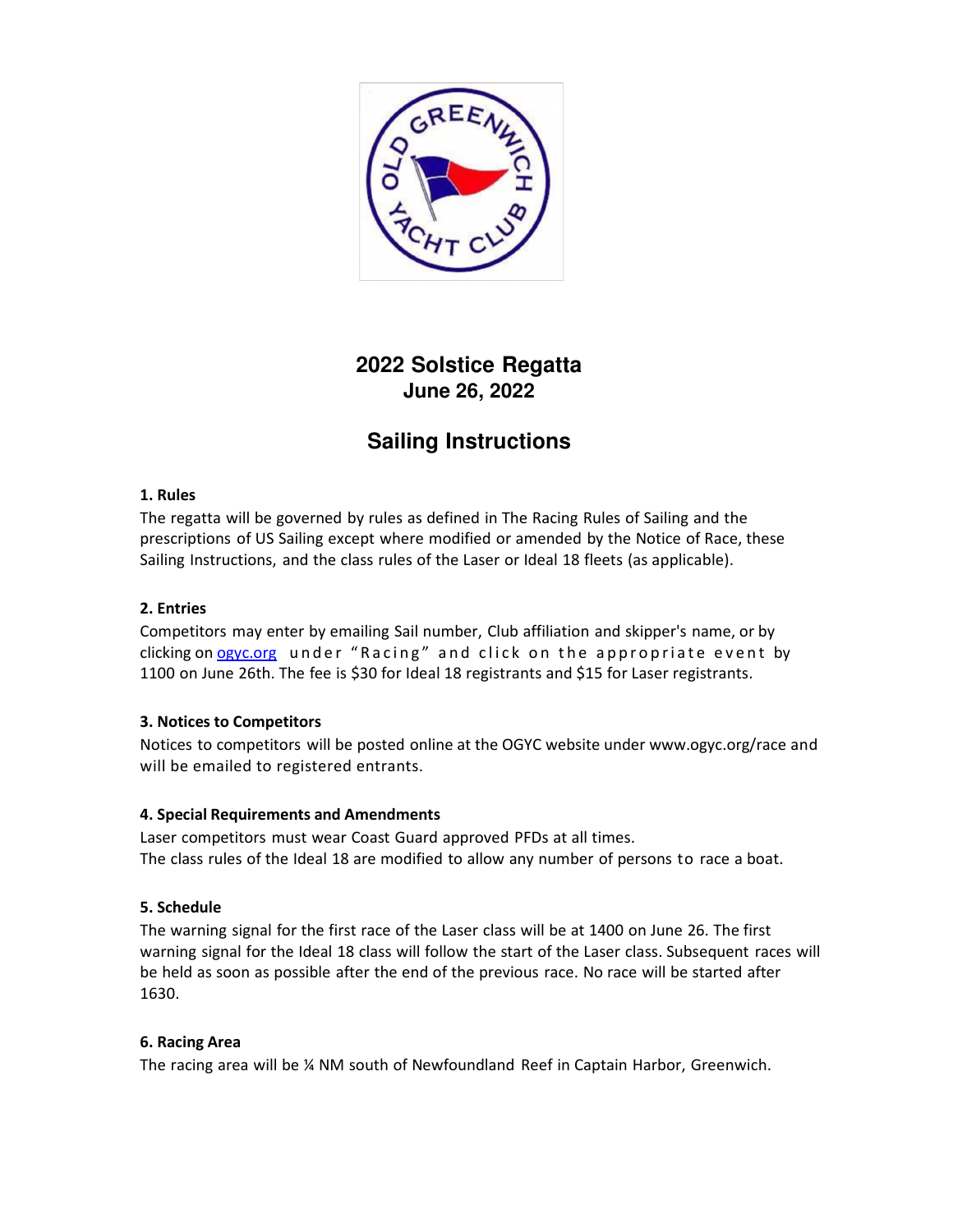

# **2022 Solstice Regatta June 26, 2022**

# **Sailing Instructions**

## **1. Rules**

The regatta will be governed by rules as defined in The Racing Rules of Sailing and the prescriptions of US Sailing except where modified or amended by the Notice of Race, these Sailing Instructions, and the class rules of the Laser or Ideal 18 fleets (as applicable).

# **2. Entries**

Competitors may enter by emailing Sail number, Club affiliation and skipper's name, or by clicking on ogyc.org under "Racing" and click on the appropriate event by 1100 on June 26th. The fee is \$30 for Ideal 18 registrants and \$15 for Laser registrants.

## **3. Notices to Competitors**

Notices to competitors will be posted online at the OGYC website under www.ogyc.org/race and will be emailed to registered entrants.

## **4. Special Requirements and Amendments**

Laser competitors must wear Coast Guard approved PFDs at all times. The class rules of the Ideal 18 are modified to allow any number of persons to race a boat.

## **5. Schedule**

The warning signal for the first race of the Laser class will be at 1400 on June 26. The first warning signal for the Ideal 18 class will follow the start of the Laser class. Subsequent races will be held as soon as possible after the end of the previous race. No race will be started after 1630.

## **6. Racing Area**

The racing area will be ¼ NM south of Newfoundland Reef in Captain Harbor, Greenwich.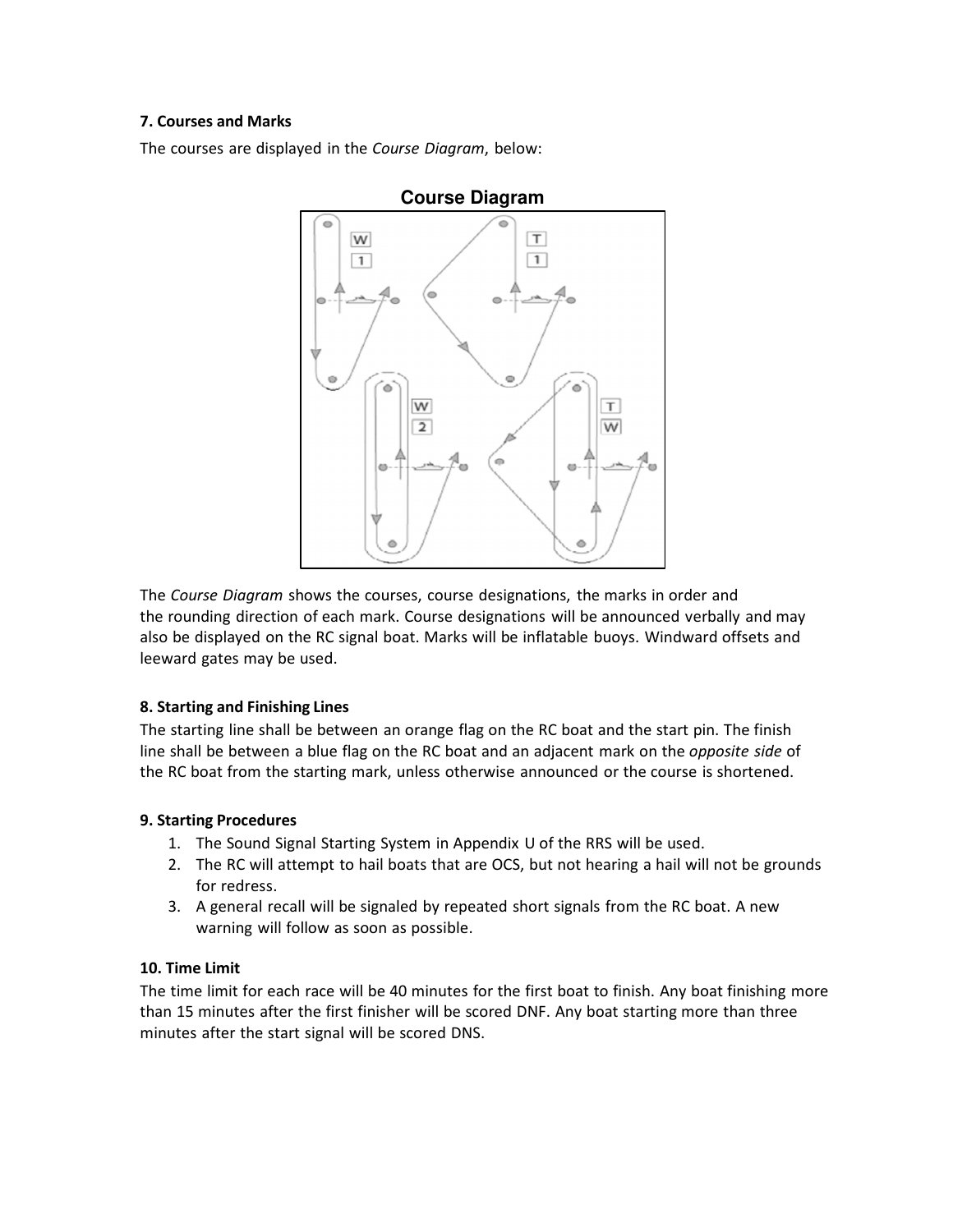## **7. Courses and Marks**

The courses are displayed in the *Course Diagram*, below:



The *Course Diagram* shows the courses, course designations, the marks in order and the rounding direction of each mark. Course designations will be announced verbally and may also be displayed on the RC signal boat. Marks will be inflatable buoys. Windward offsets and leeward gates may be used.

#### **8. Starting and Finishing Lines**

The starting line shall be between an orange flag on the RC boat and the start pin. The finish line shall be between a blue flag on the RC boat and an adjacent mark on the *opposite side* of the RC boat from the starting mark, unless otherwise announced or the course is shortened.

#### **9. Starting Procedures**

- 1. The Sound Signal Starting System in Appendix U of the RRS will be used.
- 2. The RC will attempt to hail boats that are OCS, but not hearing a hail will not be grounds for redress.
- 3. A general recall will be signaled by repeated short signals from the RC boat. A new warning will follow as soon as possible.

#### **10. Time Limit**

The time limit for each race will be 40 minutes for the first boat to finish. Any boat finishing more than 15 minutes after the first finisher will be scored DNF. Any boat starting more than three minutes after the start signal will be scored DNS.